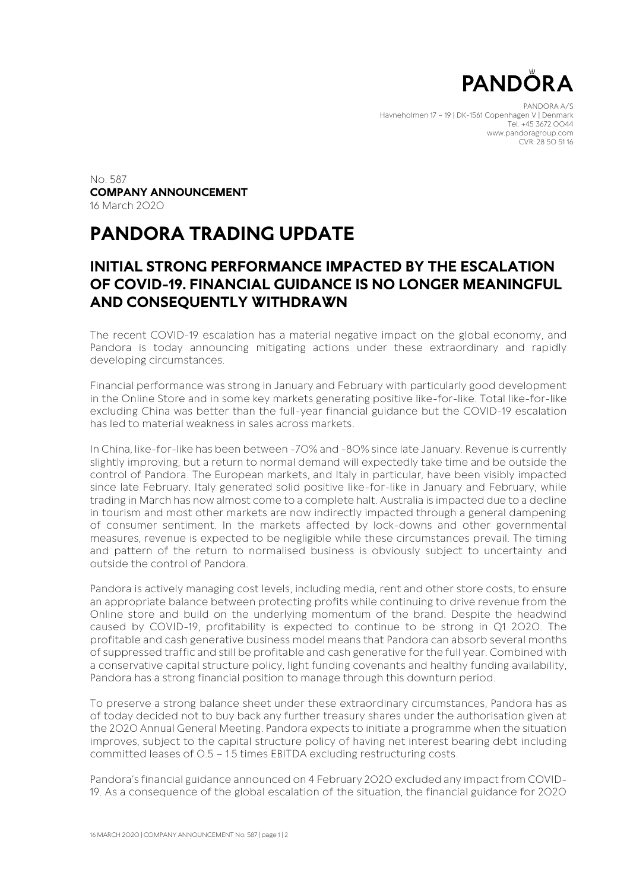

PANDORA A/S Havneholmen 17 – 19 | DK-1561 Copenhagen V | Denmark Tel. +45 3672 0044 www.pandoragroup.com CVR: 28 50 51 16

No. 587 **COMPANY ANNOUNCEMENT** 16 March 2020

## **PANDORA TRADING UPDATE**

### **INITIAL STRONG PERFORMANCE IMPACTED BY THE ESCALATION OF COVID-19. FINANCIAL GUIDANCE IS NO LONGER MEANINGFUL AND CONSEQUENTLY WITHDRAWN**

The recent COVID-19 escalation has a material negative impact on the global economy, and Pandora is today announcing mitigating actions under these extraordinary and rapidly developing circumstances.

Financial performance was strong in January and February with particularly good development in the Online Store and in some key markets generating positive like-for-like. Total like-for-like excluding China was better than the full-year financial guidance but the COVID-19 escalation has led to material weakness in sales across markets.

In China, like-for-like has been between -70% and -80% since late January. Revenue is currently slightly improving, but a return to normal demand will expectedly take time and be outside the control of Pandora. The European markets, and Italy in particular, have been visibly impacted since late February. Italy generated solid positive like-for-like in January and February, while trading in March has now almost come to a complete halt. Australia is impacted due to a decline in tourism and most other markets are now indirectly impacted through a general dampening of consumer sentiment. In the markets affected by lock-downs and other governmental measures, revenue is expected to be negligible while these circumstances prevail. The timing and pattern of the return to normalised business is obviously subject to uncertainty and outside the control of Pandora.

Pandora is actively managing cost levels, including media, rent and other store costs, to ensure an appropriate balance between protecting profits while continuing to drive revenue from the Online store and build on the underlying momentum of the brand. Despite the headwind caused by COVID-19, profitability is expected to continue to be strong in Q1 2020. The profitable and cash generative business model means that Pandora can absorb several months of suppressed traffic and still be profitable and cash generative for the full year. Combined with a conservative capital structure policy, light funding covenants and healthy funding availability, Pandora has a strong financial position to manage through this downturn period.

To preserve a strong balance sheet under these extraordinary circumstances, Pandora has as of today decided not to buy back any further treasury shares under the authorisation given at the 2020 Annual General Meeting. Pandora expects to initiate a programme when the situation improves, subject to the capital structure policy of having net interest bearing debt including committed leases of 0.5 – 1.5 times EBITDA excluding restructuring costs.

Pandora's financial guidance announced on 4 February 2020 excluded any impact from COVID-19. As a consequence of the global escalation of the situation, the financial guidance for 2020